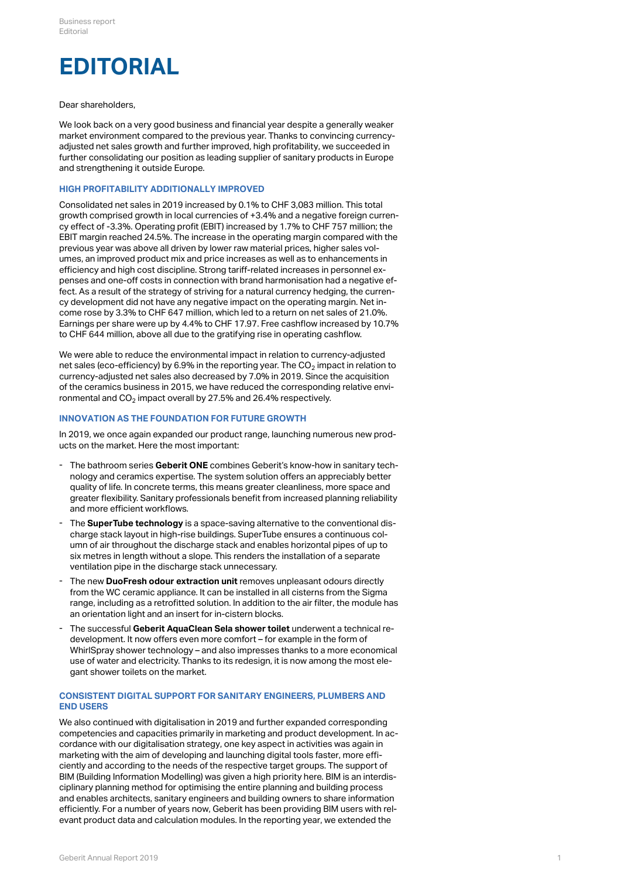# **EDITORIAL**

#### Dear shareholders,

We look back on a very good business and financial year despite a generally weaker market environment compared to the previous year. Thanks to convincing currencyadjusted net sales growth and further improved, high profitability, we succeeded in further consolidating our position as leading supplier of sanitary products in Europe and strengthening it outside Europe.

#### **HIGH PROFITABILITY ADDITIONALLY IMPROVED**

Consolidated net sales in 2019 increased by 0.1% to CHF 3,083 million. This total growth comprised growth in local currencies of +3.4% and a negative foreign currency effect of -3.3%. Operating profit (EBIT) increased by 1.7% to CHF 757 million; the EBIT margin reached 24.5%. The increase in the operating margin compared with the previous year was above all driven by lower raw material prices, higher sales volumes, an improved product mix and price increases as well as to enhancements in efficiency and high cost discipline. Strong tariff-related increases in personnel expenses and one-off costs in connection with brand harmonisation had a negative effect. As a result of the strategy of striving for a natural currency hedging, the currency development did not have any negative impact on the operating margin. Net income rose by 3.3% to CHF 647 million, which led to a return on net sales of 21.0%. Earnings per share were up by 4.4% to CHF 17.97. Free cashflow increased by 10.7% to CHF 644 million, above all due to the gratifying rise in operating cashflow.

We were able to reduce the environmental impact in relation to currency-adjusted net sales (eco-efficiency) by 6.9% in the reporting year. The CO $_2$  impact in relation to currency-adjusted net sales also decreased by 7.0% in 2019. Since the acquisition of the ceramics business in 2015, we have reduced the corresponding relative environmental and  $\mathrm{CO}_2$  impact overall by 27.5% and 26.4% respectively.

# **INNOVATION AS THE FOUNDATION FOR FUTURE GROWTH**

In 2019, we once again expanded our product range, launching numerous new products on the market. Here the most important:

- The bathroom series Geberit ONE combines Geberit's know-how in sanitary technology and ceramics expertise. The system solution offers an appreciably better quality of life. In concrete terms, this means greater cleanliness, more space and greater flexibility. Sanitary professionals benefit from increased planning reliability and more efficient workflows.
- The **SuperTube technology** is a space-saving alternative to the conventional discharge stack layout in high-rise buildings. SuperTube ensures a continuous column of air throughout the discharge stack and enables horizontal pipes of up to six metres in length without a slope. This renders the installation of a separate ventilation pipe in the discharge stack unnecessary. -
- The new **DuoFresh odour extraction unit** removes unpleasant odours directly from the WC ceramic appliance. It can be installed in all cisterns from the Sigma range, including as a retrofitted solution. In addition to the air filter, the module has an orientation light and an insert for in-cistern blocks. -
- The successful **Geberit AquaClean Sela shower toilet** underwent a technical redevelopment. It now offers even more comfort – for example in the form of WhirlSpray shower technology – and also impresses thanks to a more economical use of water and electricity. Thanks to its redesign, it is now among the most elegant shower toilets on the market. -

# **CONSISTENT DIGITAL SUPPORT FOR SANITARY ENGINEERS, PLUMBERS AND END USERS**

We also continued with digitalisation in 2019 and further expanded corresponding competencies and capacities primarily in marketing and product development. In accordance with our digitalisation strategy, one key aspect in activities was again in marketing with the aim of developing and launching digital tools faster, more efficiently and according to the needs of the respective target groups. The support of BIM (Building Information Modelling) was given a high priority here. BIM is an interdisciplinary planning method for optimising the entire planning and building process and enables architects, sanitary engineers and building owners to share information efficiently. For a number of years now, Geberit has been providing BIM users with relevant product data and calculation modules. In the reporting year, we extended the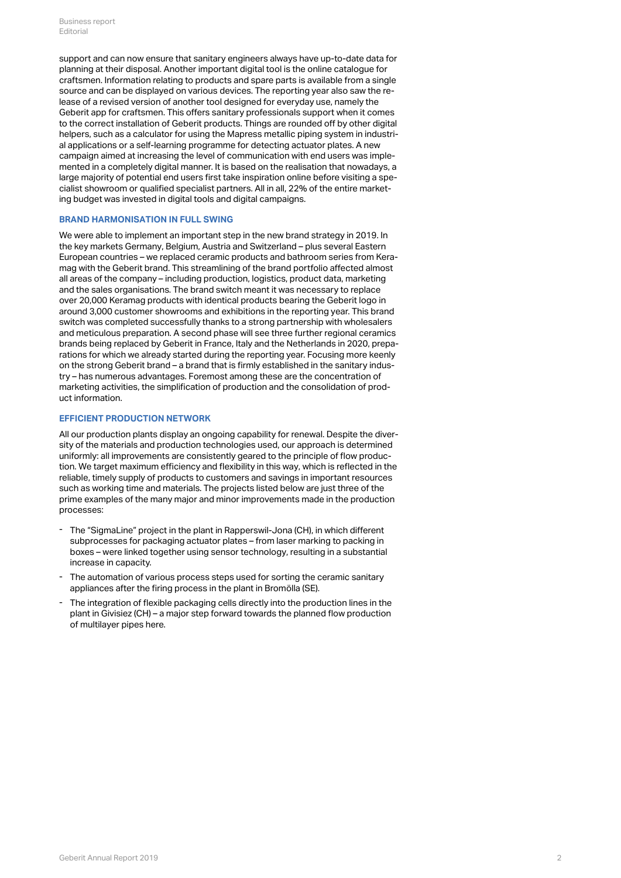support and can now ensure that sanitary engineers always have up-to-date data for planning at their disposal. Another important digital tool is the online catalogue for craftsmen. Information relating to products and spare parts is available from a single source and can be displayed on various devices. The reporting year also saw the release of a revised version of another tool designed for everyday use, namely the Geberit app for craftsmen. This offers sanitary professionals support when it comes to the correct installation of Geberit products. Things are rounded off by other digital helpers, such as a calculator for using the Mapress metallic piping system in industrial applications or a self-learning programme for detecting actuator plates. A new campaign aimed at increasing the level of communication with end users was implemented in a completely digital manner. It is based on the realisation that nowadays, a large majority of potential end users first take inspiration online before visiting a specialist showroom or qualified specialist partners. All in all, 22% of the entire marketing budget was invested in digital tools and digital campaigns.

## **BRAND HARMONISATION IN FULL SWING**

We were able to implement an important step in the new brand strategy in 2019. In the key markets Germany, Belgium, Austria and Switzerland – plus several Eastern European countries – we replaced ceramic products and bathroom series from Keramag with the Geberit brand. This streamlining of the brand portfolio affected almost all areas of the company – including production, logistics, product data, marketing and the sales organisations. The brand switch meant it was necessary to replace over 20,000 Keramag products with identical products bearing the Geberit logo in around 3,000 customer showrooms and exhibitions in the reporting year. This brand switch was completed successfully thanks to a strong partnership with wholesalers and meticulous preparation. A second phase will see three further regional ceramics brands being replaced by Geberit in France, Italy and the Netherlands in 2020, preparations for which we already started during the reporting year. Focusing more keenly on the strong Geberit brand – a brand that is firmly established in the sanitary industry – has numerous advantages. Foremost among these are the concentration of marketing activities, the simplification of production and the consolidation of product information.

# **EFFICIENT PRODUCTION NETWORK**

All our production plants display an ongoing capability for renewal. Despite the diversity of the materials and production technologies used, our approach is determined uniformly: all improvements are consistently geared to the principle of flow production. We target maximum efficiency and flexibility in this way, which is reflected in the reliable, timely supply of products to customers and savings in important resources such as working time and materials. The projects listed below are just three of the prime examples of the many major and minor improvements made in the production processes:

- The "SigmaLine" project in the plant in Rapperswil-Jona (CH), in which different subprocesses for packaging actuator plates – from laser marking to packing in boxes – were linked together using sensor technology, resulting in a substantial increase in capacity.
- The automation of various process steps used for sorting the ceramic sanitary appliances after the firing process in the plant in Bromölla (SE). -
- The integration of flexible packaging cells directly into the production lines in the plant in Givisiez (CH) – a major step forward towards the planned flow production of multilayer pipes here. -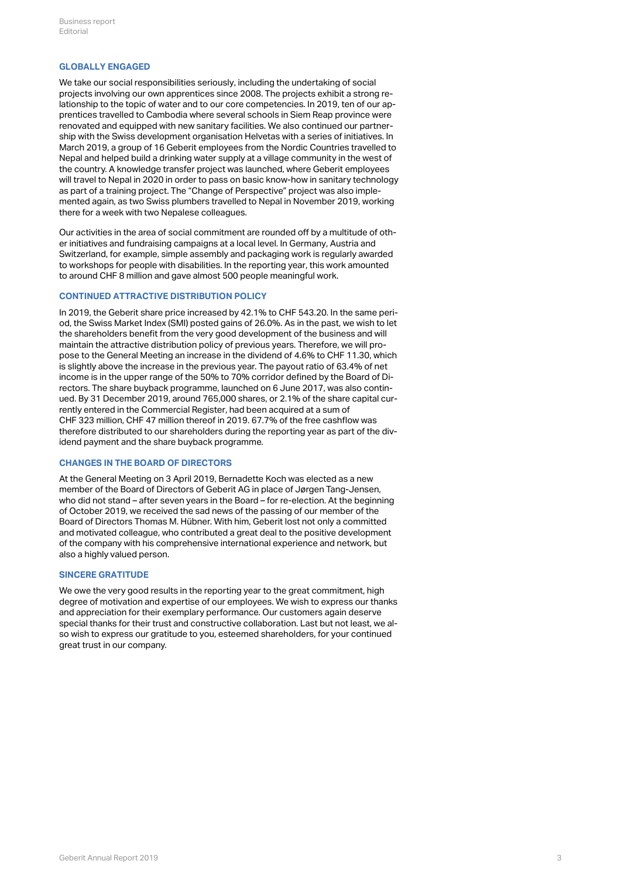#### **GLOBALLY ENGAGED**

We take our social responsibilities seriously, including the undertaking of social projects involving our own apprentices since 2008. The projects exhibit a strong relationship to the topic of water and to our core competencies. In 2019, ten of our apprentices travelled to Cambodia where several schools in Siem Reap province were renovated and equipped with new sanitary facilities. We also continued our partnership with the Swiss development organisation Helvetas with a series of initiatives. In March 2019, a group of 16 Geberit employees from the Nordic Countries travelled to Nepal and helped build a drinking water supply at a village community in the west of the country. A knowledge transfer project was launched, where Geberit employees will travel to Nepal in 2020 in order to pass on basic know-how in sanitary technology as part of a training project. The "Change of Perspective" project was also implemented again, as two Swiss plumbers travelled to Nepal in November 2019, working there for a week with two Nepalese colleagues.

Our activities in the area of social commitment are rounded off by a multitude of other initiatives and fundraising campaigns at a local level. In Germany, Austria and Switzerland, for example, simple assembly and packaging work is regularly awarded to workshops for people with disabilities. In the reporting year, this work amounted to around CHF 8 million and gave almost 500 people meaningful work.

#### **CONTINUED ATTRACTIVE DISTRIBUTION POLICY**

In 2019, the Geberit share price increased by 42.1% to CHF 543.20. In the same period, the Swiss Market Index (SMI) posted gains of 26.0%. As in the past, we wish to let the shareholders benefit from the very good development of the business and will maintain the attractive distribution policy of previous years. Therefore, we will propose to the General Meeting an increase in the dividend of 4.6% to CHF 11.30, which is slightly above the increase in the previous year. The payout ratio of 63.4% of net income is in the upper range of the 50% to 70% corridor defined by the Board of Directors. The share buyback programme, launched on 6 June 2017, was also continued. By 31 December 2019, around 765,000 shares, or 2.1% of the share capital currently entered in the Commercial Register, had been acquired at a sum of CHF 323 million, CHF 47 million thereof in 2019. 67.7% of the free cashflow was therefore distributed to our shareholders during the reporting year as part of the dividend payment and the share buyback programme.

# **CHANGES IN THE BOARD OF DIRECTORS**

At the General Meeting on 3 April 2019, Bernadette Koch was elected as a new member of the Board of Directors of Geberit AG in place of Jørgen Tang-Jensen, who did not stand – after seven years in the Board – for re-election. At the beginning of October 2019, we received the sad news of the passing of our member of the Board of Directors Thomas M. Hübner. With him, Geberit lost not only a committed and motivated colleague, who contributed a great deal to the positive development of the company with his comprehensive international experience and network, but also a highly valued person.

#### **SINCERE GRATITUDE**

We owe the very good results in the reporting year to the great commitment, high degree of motivation and expertise of our employees. We wish to express our thanks and appreciation for their exemplary performance. Our customers again deserve special thanks for their trust and constructive collaboration. Last but not least, we also wish to express our gratitude to you, esteemed shareholders, for your continued great trust in our company.